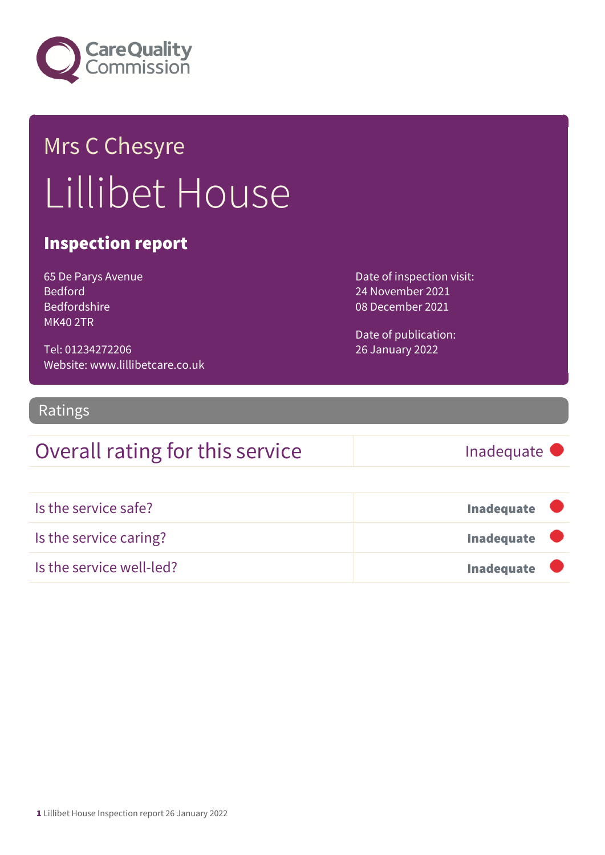

## Mrs C Chesyre Lillibet House

#### Inspection report

| 65 De Parys Avenue  |
|---------------------|
| <b>Bedford</b>      |
| <b>Bedfordshire</b> |
| <b>MK40 2TR</b>     |

Tel: 01234272206 Website: www.lillibetcare.co.uk Date of inspection visit: 24 November 2021 08 December 2021

Date of publication: 26 January 2022

#### Ratings

### Overall rating for this service Fig. 5 and the linadequate

| Is the service safe?     | <b>Inadequate</b> |
|--------------------------|-------------------|
| Is the service caring?   | <b>Inadequate</b> |
| Is the service well-led? | <b>Inadequate</b> |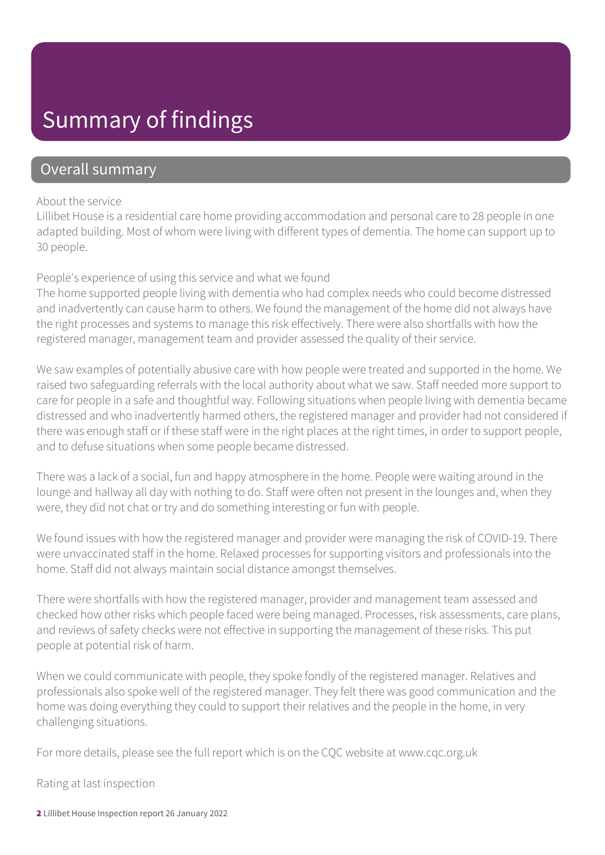### Summary of findings

#### Overall summary

#### About the service

Lillibet House is a residential care home providing accommodation and personal care to 28 people in one adapted building. Most of whom were living with different types of dementia. The home can support up to 30 people.

#### People's experience of using this service and what we found

The home supported people living with dementia who had complex needs who could become distressed and inadvertently can cause harm to others. We found the management of the home did not always have the right processes and systems to manage this risk effectively. There were also shortfalls with how the registered manager, management team and provider assessed the quality of their service.

We saw examples of potentially abusive care with how people were treated and supported in the home. We raised two safeguarding referrals with the local authority about what we saw. Staff needed more support to care for people in a safe and thoughtful way. Following situations when people living with dementia became distressed and who inadvertently harmed others, the registered manager and provider had not considered if there was enough staff or if these staff were in the right places at the right times, in order to support people, and to defuse situations when some people became distressed.

There was a lack of a social, fun and happy atmosphere in the home. People were waiting around in the lounge and hallway all day with nothing to do. Staff were often not present in the lounges and, when they were, they did not chat or try and do something interesting or fun with people.

We found issues with how the registered manager and provider were managing the risk of COVID-19. There were unvaccinated staff in the home. Relaxed processes for supporting visitors and professionals into the home. Staff did not always maintain social distance amongst themselves.

There were shortfalls with how the registered manager, provider and management team assessed and checked how other risks which people faced were being managed. Processes, risk assessments, care plans, and reviews of safety checks were not effective in supporting the management of these risks. This put people at potential risk of harm.

When we could communicate with people, they spoke fondly of the registered manager. Relatives and professionals also spoke well of the registered manager. They felt there was good communication and the home was doing everything they could to support their relatives and the people in the home, in very challenging situations.

For more details, please see the full report which is on the CQC website at www.cqc.org.uk

Rating at last inspection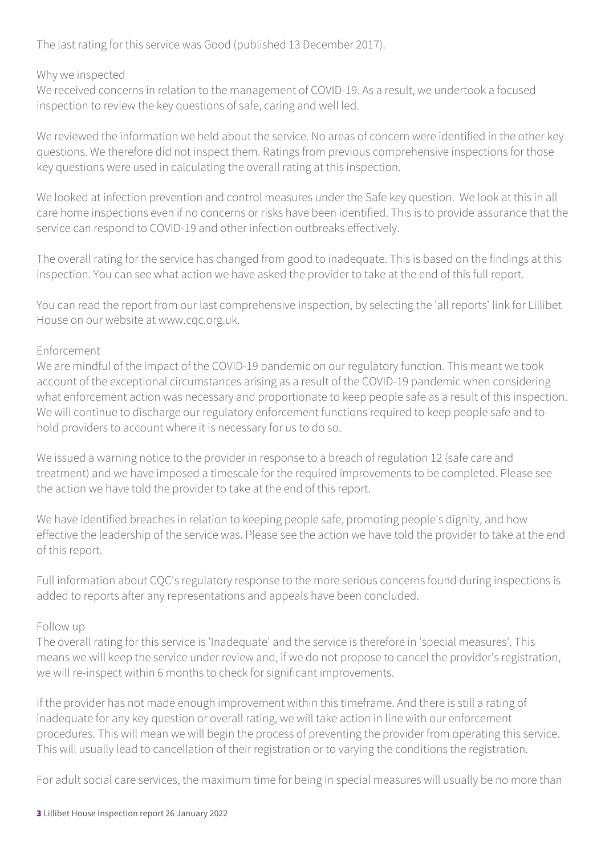The last rating for this service was Good (published 13 December 2017).

#### Why we inspected

We received concerns in relation to the management of COVID-19. As a result, we undertook a focused inspection to review the key questions of safe, caring and well led.

We reviewed the information we held about the service. No areas of concern were identified in the other key questions. We therefore did not inspect them. Ratings from previous comprehensive inspections for those key questions were used in calculating the overall rating at this inspection.

We looked at infection prevention and control measures under the Safe key question. We look at this in all care home inspections even if no concerns or risks have been identified. This is to provide assurance that the service can respond to COVID-19 and other infection outbreaks effectively.

The overall rating for the service has changed from good to inadequate. This is based on the findings at this inspection. You can see what action we have asked the provider to take at the end of this full report.

You can read the report from our last comprehensive inspection, by selecting the 'all reports' link for Lillibet House on our website at www.cqc.org.uk.

#### Enforcement

We are mindful of the impact of the COVID-19 pandemic on our regulatory function. This meant we took account of the exceptional circumstances arising as a result of the COVID-19 pandemic when considering what enforcement action was necessary and proportionate to keep people safe as a result of this inspection. We will continue to discharge our regulatory enforcement functions required to keep people safe and to hold providers to account where it is necessary for us to do so.

We issued a warning notice to the provider in response to a breach of regulation 12 (safe care and treatment) and we have imposed a timescale for the required improvements to be completed. Please see the action we have told the provider to take at the end of this report.

We have identified breaches in relation to keeping people safe, promoting people's dignity, and how effective the leadership of the service was. Please see the action we have told the provider to take at the end of this report.

Full information about CQC's regulatory response to the more serious concerns found during inspections is added to reports after any representations and appeals have been concluded.

#### Follow up

The overall rating for this service is 'Inadequate' and the service is therefore in 'special measures'. This means we will keep the service under review and, if we do not propose to cancel the provider's registration, we will re-inspect within 6 months to check for significant improvements.

If the provider has not made enough improvement within this timeframe. And there is still a rating of inadequate for any key question or overall rating, we will take action in line with our enforcement procedures. This will mean we will begin the process of preventing the provider from operating this service. This will usually lead to cancellation of their registration or to varying the conditions the registration.

For adult social care services, the maximum time for being in special measures will usually be no more than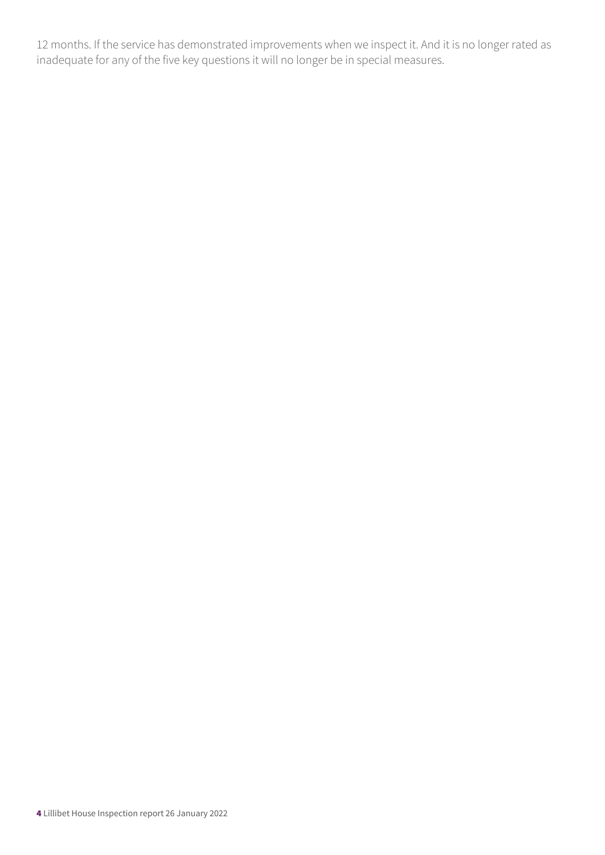12 months. If the service has demonstrated improvements when we inspect it. And it is no longer rated as inadequate for any of the five key questions it will no longer be in special measures.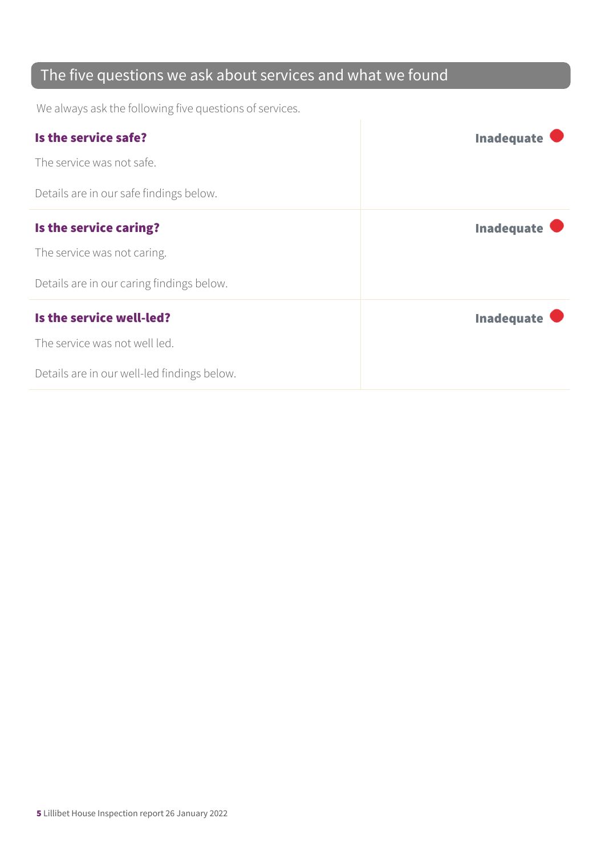### The five questions we ask about services and what we found

We always ask the following five questions of services.

| Is the service safe?                        | <b>Inadequate</b> |
|---------------------------------------------|-------------------|
| The service was not safe.                   |                   |
| Details are in our safe findings below.     |                   |
| Is the service caring?                      | <b>Inadequate</b> |
| The service was not caring.                 |                   |
| Details are in our caring findings below.   |                   |
| Is the service well-led?                    | <b>Inadequate</b> |
| The service was not well led.               |                   |
| Details are in our well-led findings below. |                   |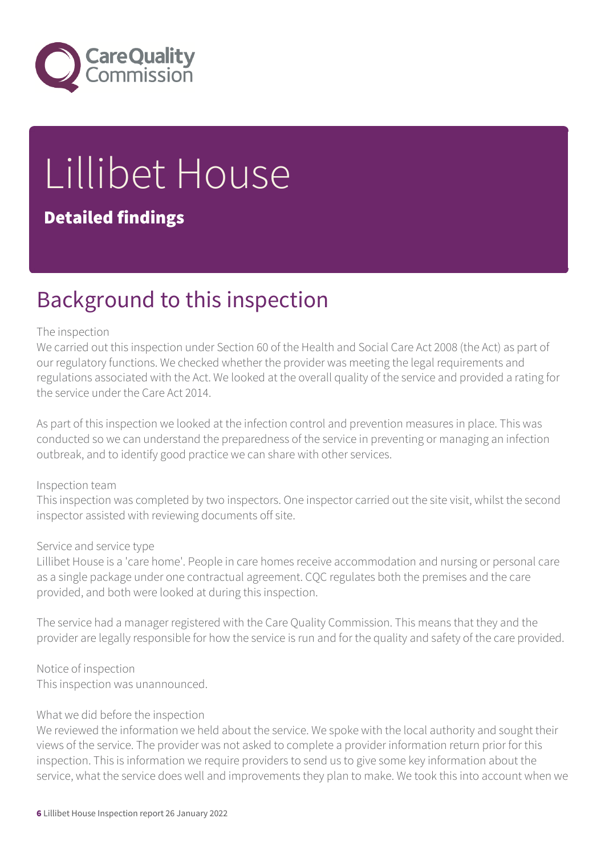

# Lillibet House

#### Detailed findings

### Background to this inspection

#### The inspection

We carried out this inspection under Section 60 of the Health and Social Care Act 2008 (the Act) as part of our regulatory functions. We checked whether the provider was meeting the legal requirements and regulations associated with the Act. We looked at the overall quality of the service and provided a rating for the service under the Care Act 2014.

As part of this inspection we looked at the infection control and prevention measures in place. This was conducted so we can understand the preparedness of the service in preventing or managing an infection outbreak, and to identify good practice we can share with other services.

#### Inspection team

This inspection was completed by two inspectors. One inspector carried out the site visit, whilst the second inspector assisted with reviewing documents off site.

#### Service and service type

Lillibet House is a 'care home'. People in care homes receive accommodation and nursing or personal care as a single package under one contractual agreement. CQC regulates both the premises and the care provided, and both were looked at during this inspection.

The service had a manager registered with the Care Quality Commission. This means that they and the provider are legally responsible for how the service is run and for the quality and safety of the care provided.

Notice of inspection This inspection was unannounced.

#### What we did before the inspection

We reviewed the information we held about the service. We spoke with the local authority and sought their views of the service. The provider was not asked to complete a provider information return prior for this inspection. This is information we require providers to send us to give some key information about the service, what the service does well and improvements they plan to make. We took this into account when we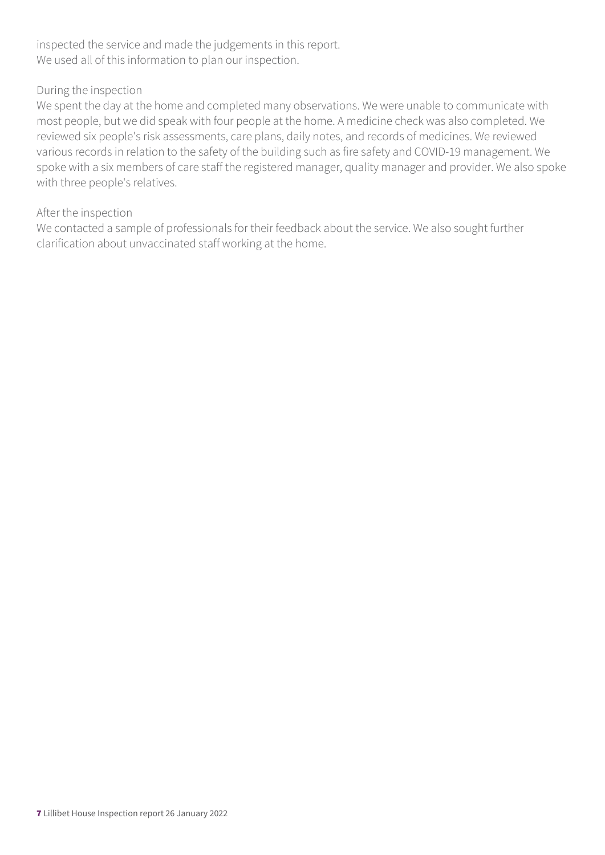inspected the service and made the judgements in this report. We used all of this information to plan our inspection.

#### During the inspection

We spent the day at the home and completed many observations. We were unable to communicate with most people, but we did speak with four people at the home. A medicine check was also completed. We reviewed six people's risk assessments, care plans, daily notes, and records of medicines. We reviewed various records in relation to the safety of the building such as fire safety and COVID-19 management. We spoke with a six members of care staff the registered manager, quality manager and provider. We also spoke with three people's relatives.

#### After the inspection

We contacted a sample of professionals for their feedback about the service. We also sought further clarification about unvaccinated staff working at the home.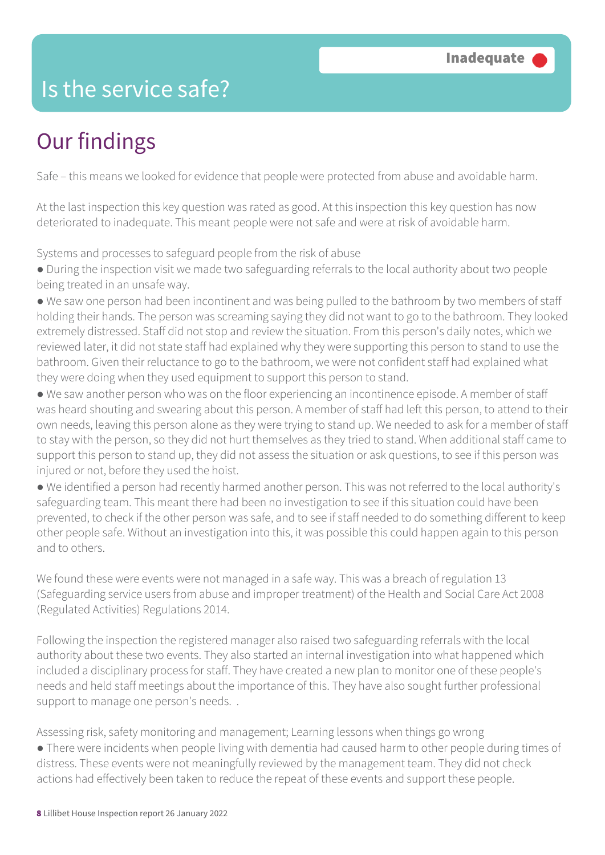### Is the service safe?

### Our findings

Safe – this means we looked for evidence that people were protected from abuse and avoidable harm.

At the last inspection this key question was rated as good. At this inspection this key question has now deteriorated to inadequate. This meant people were not safe and were at risk of avoidable harm.

Systems and processes to safeguard people from the risk of abuse

● During the inspection visit we made two safeguarding referrals to the local authority about two people being treated in an unsafe way.

● We saw one person had been incontinent and was being pulled to the bathroom by two members of staff holding their hands. The person was screaming saying they did not want to go to the bathroom. They looked extremely distressed. Staff did not stop and review the situation. From this person's daily notes, which we reviewed later, it did not state staff had explained why they were supporting this person to stand to use the bathroom. Given their reluctance to go to the bathroom, we were not confident staff had explained what they were doing when they used equipment to support this person to stand.

● We saw another person who was on the floor experiencing an incontinence episode. A member of staff was heard shouting and swearing about this person. A member of staff had left this person, to attend to their own needs, leaving this person alone as they were trying to stand up. We needed to ask for a member of staff to stay with the person, so they did not hurt themselves as they tried to stand. When additional staff came to support this person to stand up, they did not assess the situation or ask questions, to see if this person was injured or not, before they used the hoist.

● We identified a person had recently harmed another person. This was not referred to the local authority's safeguarding team. This meant there had been no investigation to see if this situation could have been prevented, to check if the other person was safe, and to see if staff needed to do something different to keep other people safe. Without an investigation into this, it was possible this could happen again to this person and to others.

We found these were events were not managed in a safe way. This was a breach of regulation 13 (Safeguarding service users from abuse and improper treatment) of the Health and Social Care Act 2008 (Regulated Activities) Regulations 2014.

Following the inspection the registered manager also raised two safeguarding referrals with the local authority about these two events. They also started an internal investigation into what happened which included a disciplinary process for staff. They have created a new plan to monitor one of these people's needs and held staff meetings about the importance of this. They have also sought further professional support to manage one person's needs. .

Assessing risk, safety monitoring and management; Learning lessons when things go wrong ● There were incidents when people living with dementia had caused harm to other people during times of distress. These events were not meaningfully reviewed by the management team. They did not check actions had effectively been taken to reduce the repeat of these events and support these people.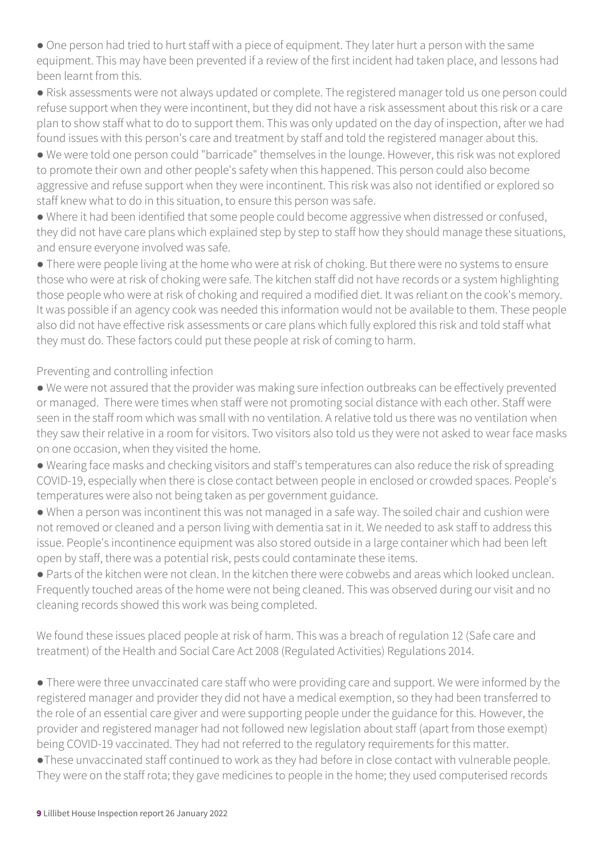• One person had tried to hurt staff with a piece of equipment. They later hurt a person with the same equipment. This may have been prevented if a review of the first incident had taken place, and lessons had been learnt from this.

● Risk assessments were not always updated or complete. The registered manager told us one person could refuse support when they were incontinent, but they did not have a risk assessment about this risk or a care plan to show staff what to do to support them. This was only updated on the day of inspection, after we had found issues with this person's care and treatment by staff and told the registered manager about this.

● We were told one person could "barricade" themselves in the lounge. However, this risk was not explored to promote their own and other people's safety when this happened. This person could also become aggressive and refuse support when they were incontinent. This risk was also not identified or explored so staff knew what to do in this situation, to ensure this person was safe.

● Where it had been identified that some people could become aggressive when distressed or confused, they did not have care plans which explained step by step to staff how they should manage these situations, and ensure everyone involved was safe.

● There were people living at the home who were at risk of choking. But there were no systems to ensure those who were at risk of choking were safe. The kitchen staff did not have records or a system highlighting those people who were at risk of choking and required a modified diet. It was reliant on the cook's memory. It was possible if an agency cook was needed this information would not be available to them. These people also did not have effective risk assessments or care plans which fully explored this risk and told staff what they must do. These factors could put these people at risk of coming to harm.

Preventing and controlling infection

- We were not assured that the provider was making sure infection outbreaks can be effectively prevented or managed. There were times when staff were not promoting social distance with each other. Staff were seen in the staff room which was small with no ventilation. A relative told us there was no ventilation when they saw their relative in a room for visitors. Two visitors also told us they were not asked to wear face masks on one occasion, when they visited the home.
- Wearing face masks and checking visitors and staff's temperatures can also reduce the risk of spreading COVID-19, especially when there is close contact between people in enclosed or crowded spaces. People's temperatures were also not being taken as per government guidance.
- When a person was incontinent this was not managed in a safe way. The soiled chair and cushion were not removed or cleaned and a person living with dementia sat in it. We needed to ask staff to address this issue. People's incontinence equipment was also stored outside in a large container which had been left open by staff, there was a potential risk, pests could contaminate these items.
- Parts of the kitchen were not clean. In the kitchen there were cobwebs and areas which looked unclean. Frequently touched areas of the home were not being cleaned. This was observed during our visit and no cleaning records showed this work was being completed.

We found these issues placed people at risk of harm. This was a breach of regulation 12 (Safe care and treatment) of the Health and Social Care Act 2008 (Regulated Activities) Regulations 2014.

● There were three unvaccinated care staff who were providing care and support. We were informed by the registered manager and provider they did not have a medical exemption, so they had been transferred to the role of an essential care giver and were supporting people under the guidance for this. However, the provider and registered manager had not followed new legislation about staff (apart from those exempt) being COVID-19 vaccinated. They had not referred to the regulatory requirements for this matter.

●These unvaccinated staff continued to work as they had before in close contact with vulnerable people. They were on the staff rota; they gave medicines to people in the home; they used computerised records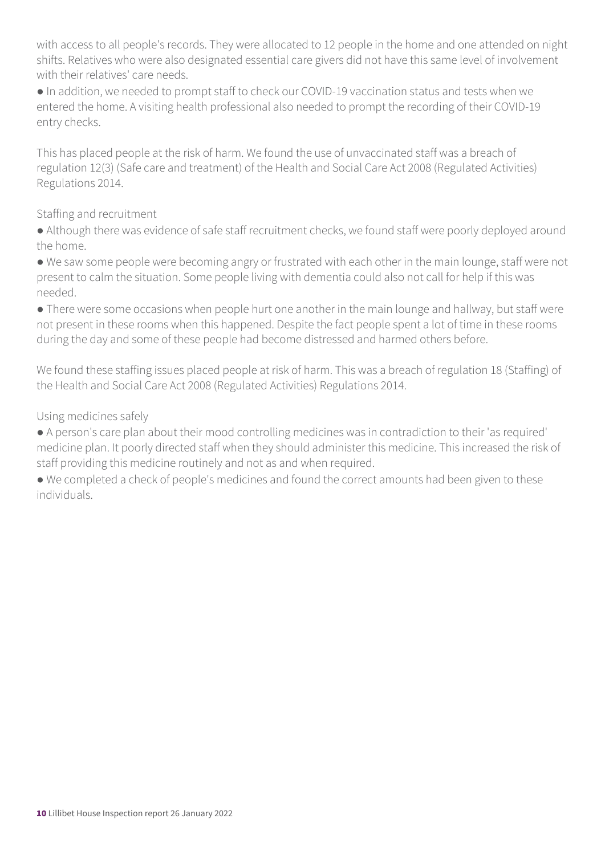with access to all people's records. They were allocated to 12 people in the home and one attended on night shifts. Relatives who were also designated essential care givers did not have this same level of involvement with their relatives' care needs.

● In addition, we needed to prompt staff to check our COVID-19 vaccination status and tests when we entered the home. A visiting health professional also needed to prompt the recording of their COVID-19 entry checks.

This has placed people at the risk of harm. We found the use of unvaccinated staff was a breach of regulation 12(3) (Safe care and treatment) of the Health and Social Care Act 2008 (Regulated Activities) Regulations 2014.

#### Staffing and recruitment

● Although there was evidence of safe staff recruitment checks, we found staff were poorly deployed around the home.

● We saw some people were becoming angry or frustrated with each other in the main lounge, staff were not present to calm the situation. Some people living with dementia could also not call for help if this was needed.

● There were some occasions when people hurt one another in the main lounge and hallway, but staff were not present in these rooms when this happened. Despite the fact people spent a lot of time in these rooms during the day and some of these people had become distressed and harmed others before.

We found these staffing issues placed people at risk of harm. This was a breach of regulation 18 (Staffing) of the Health and Social Care Act 2008 (Regulated Activities) Regulations 2014.

#### Using medicines safely

● A person's care plan about their mood controlling medicines was in contradiction to their 'as required' medicine plan. It poorly directed staff when they should administer this medicine. This increased the risk of staff providing this medicine routinely and not as and when required.

● We completed a check of people's medicines and found the correct amounts had been given to these individuals.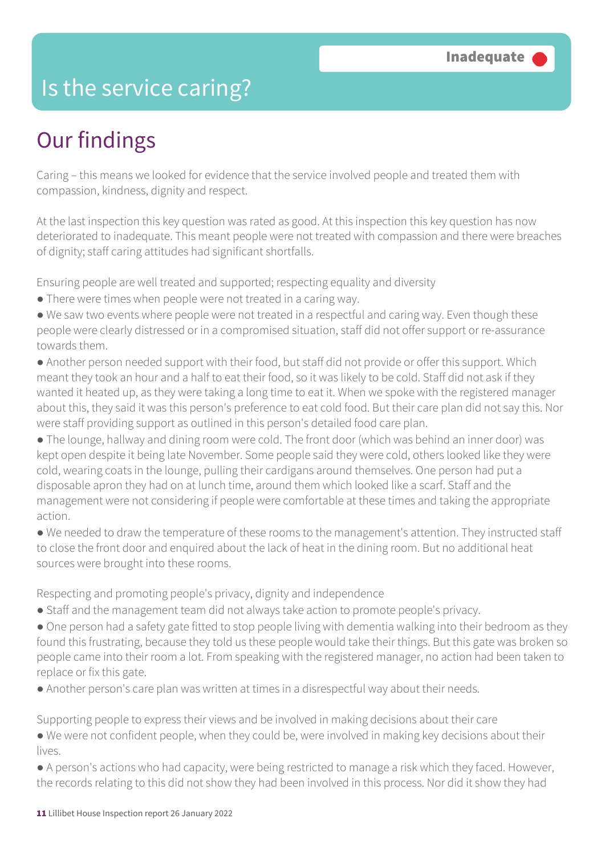### Is the service caring?

### Our findings

Caring – this means we looked for evidence that the service involved people and treated them with compassion, kindness, dignity and respect.

At the last inspection this key question was rated as good. At this inspection this key question has now deteriorated to inadequate. This meant people were not treated with compassion and there were breaches of dignity; staff caring attitudes had significant shortfalls.

Ensuring people are well treated and supported; respecting equality and diversity

- There were times when people were not treated in a caring way.
- We saw two events where people were not treated in a respectful and caring way. Even though these people were clearly distressed or in a compromised situation, staff did not offer support or re-assurance towards them.
- Another person needed support with their food, but staff did not provide or offer this support. Which meant they took an hour and a half to eat their food, so it was likely to be cold. Staff did not ask if they wanted it heated up, as they were taking a long time to eat it. When we spoke with the registered manager about this, they said it was this person's preference to eat cold food. But their care plan did not say this. Nor were staff providing support as outlined in this person's detailed food care plan.
- The lounge, hallway and dining room were cold. The front door (which was behind an inner door) was kept open despite it being late November. Some people said they were cold, others looked like they were cold, wearing coats in the lounge, pulling their cardigans around themselves. One person had put a disposable apron they had on at lunch time, around them which looked like a scarf. Staff and the management were not considering if people were comfortable at these times and taking the appropriate action.
- We needed to draw the temperature of these rooms to the management's attention. They instructed staff to close the front door and enquired about the lack of heat in the dining room. But no additional heat sources were brought into these rooms.

Respecting and promoting people's privacy, dignity and independence

- Staff and the management team did not always take action to promote people's privacy.
- One person had a safety gate fitted to stop people living with dementia walking into their bedroom as they found this frustrating, because they told us these people would take their things. But this gate was broken so people came into their room a lot. From speaking with the registered manager, no action had been taken to replace or fix this gate.
- Another person's care plan was written at times in a disrespectful way about their needs.

Supporting people to express their views and be involved in making decisions about their care

- We were not confident people, when they could be, were involved in making key decisions about their lives.
- A person's actions who had capacity, were being restricted to manage a risk which they faced. However, the records relating to this did not show they had been involved in this process. Nor did it show they had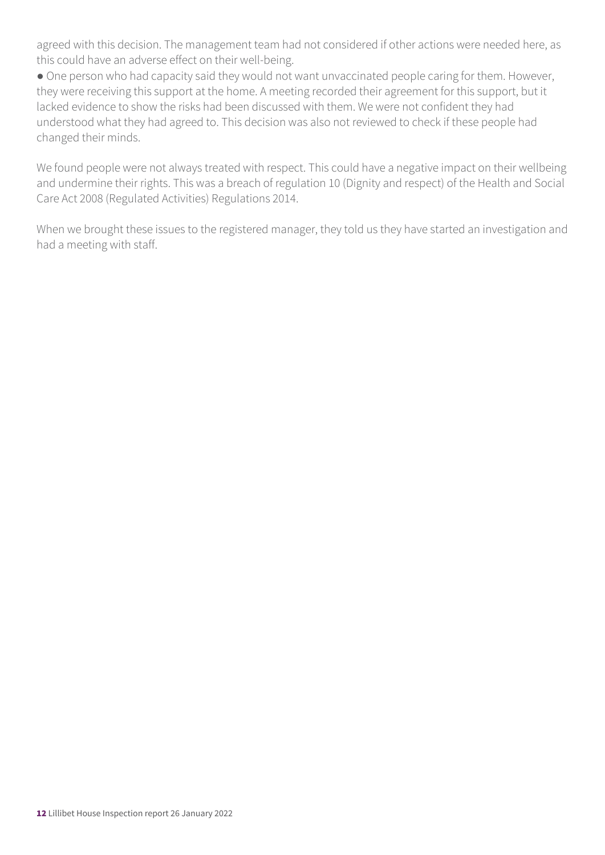agreed with this decision. The management team had not considered if other actions were needed here, as this could have an adverse effect on their well-being.

● One person who had capacity said they would not want unvaccinated people caring for them. However, they were receiving this support at the home. A meeting recorded their agreement for this support, but it lacked evidence to show the risks had been discussed with them. We were not confident they had understood what they had agreed to. This decision was also not reviewed to check if these people had changed their minds.

We found people were not always treated with respect. This could have a negative impact on their wellbeing and undermine their rights. This was a breach of regulation 10 (Dignity and respect) of the Health and Social Care Act 2008 (Regulated Activities) Regulations 2014.

When we brought these issues to the registered manager, they told us they have started an investigation and had a meeting with staff.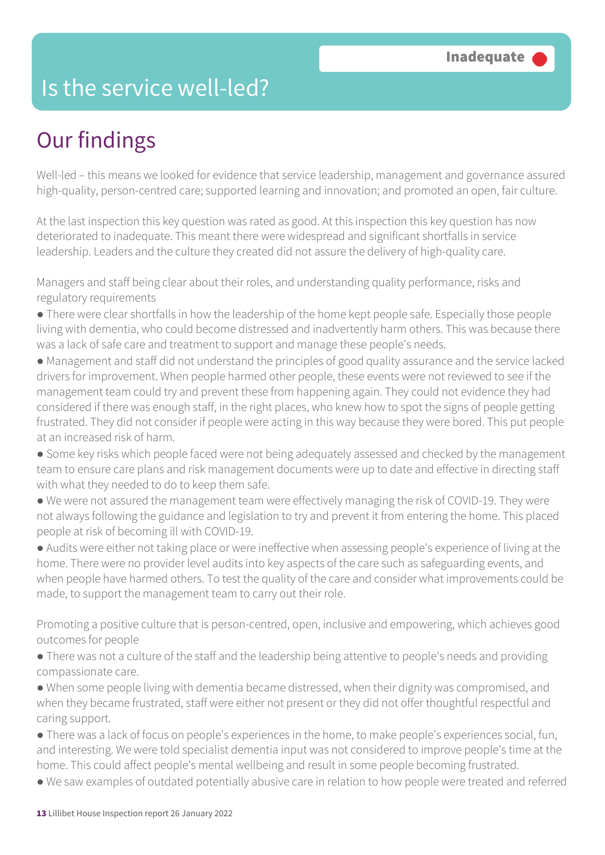### Is the service well-led?

### Our findings

Well-led – this means we looked for evidence that service leadership, management and governance assured high-quality, person-centred care; supported learning and innovation; and promoted an open, fair culture.

At the last inspection this key question was rated as good. At this inspection this key question has now deteriorated to inadequate. This meant there were widespread and significant shortfalls in service leadership. Leaders and the culture they created did not assure the delivery of high-quality care.

Managers and staff being clear about their roles, and understanding quality performance, risks and regulatory requirements

- There were clear shortfalls in how the leadership of the home kept people safe. Especially those people living with dementia, who could become distressed and inadvertently harm others. This was because there was a lack of safe care and treatment to support and manage these people's needs.
- Management and staff did not understand the principles of good quality assurance and the service lacked drivers for improvement. When people harmed other people, these events were not reviewed to see if the management team could try and prevent these from happening again. They could not evidence they had considered if there was enough staff, in the right places, who knew how to spot the signs of people getting frustrated. They did not consider if people were acting in this way because they were bored. This put people at an increased risk of harm.
- Some key risks which people faced were not being adequately assessed and checked by the management team to ensure care plans and risk management documents were up to date and effective in directing staff with what they needed to do to keep them safe.
- We were not assured the management team were effectively managing the risk of COVID-19. They were not always following the guidance and legislation to try and prevent it from entering the home. This placed people at risk of becoming ill with COVID-19.

● Audits were either not taking place or were ineffective when assessing people's experience of living at the home. There were no provider level audits into key aspects of the care such as safeguarding events, and when people have harmed others. To test the quality of the care and consider what improvements could be made, to support the management team to carry out their role.

Promoting a positive culture that is person-centred, open, inclusive and empowering, which achieves good outcomes for people

- There was not a culture of the staff and the leadership being attentive to people's needs and providing compassionate care.
- When some people living with dementia became distressed, when their dignity was compromised, and when they became frustrated, staff were either not present or they did not offer thoughtful respectful and caring support.
- There was a lack of focus on people's experiences in the home, to make people's experiences social, fun, and interesting. We were told specialist dementia input was not considered to improve people's time at the home. This could affect people's mental wellbeing and result in some people becoming frustrated.
- We saw examples of outdated potentially abusive care in relation to how people were treated and referred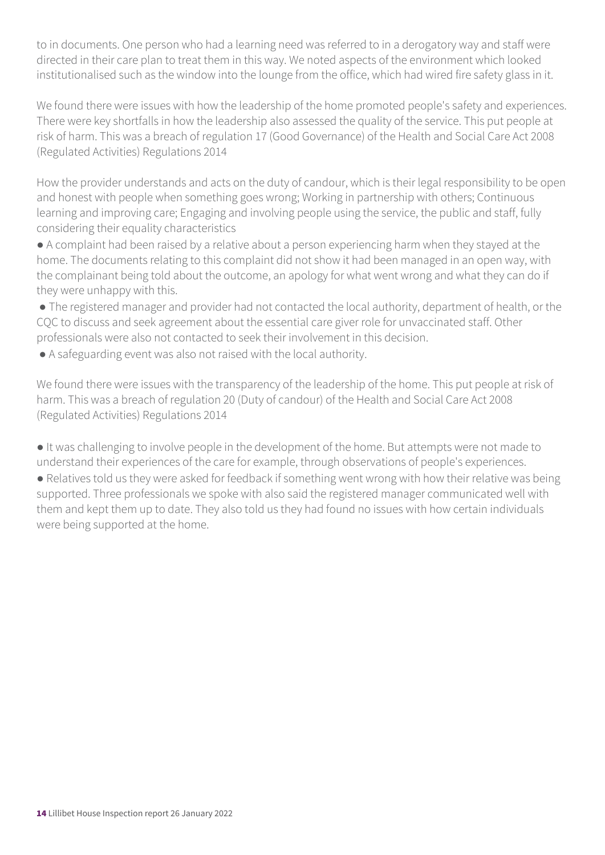to in documents. One person who had a learning need was referred to in a derogatory way and staff were directed in their care plan to treat them in this way. We noted aspects of the environment which looked institutionalised such as the window into the lounge from the office, which had wired fire safety glass in it.

We found there were issues with how the leadership of the home promoted people's safety and experiences. There were key shortfalls in how the leadership also assessed the quality of the service. This put people at risk of harm. This was a breach of regulation 17 (Good Governance) of the Health and Social Care Act 2008 (Regulated Activities) Regulations 2014

How the provider understands and acts on the duty of candour, which is their legal responsibility to be open and honest with people when something goes wrong; Working in partnership with others; Continuous learning and improving care; Engaging and involving people using the service, the public and staff, fully considering their equality characteristics

● A complaint had been raised by a relative about a person experiencing harm when they stayed at the home. The documents relating to this complaint did not show it had been managed in an open way, with the complainant being told about the outcome, an apology for what went wrong and what they can do if they were unhappy with this.

● The registered manager and provider had not contacted the local authority, department of health, or the CQC to discuss and seek agreement about the essential care giver role for unvaccinated staff. Other professionals were also not contacted to seek their involvement in this decision.

● A safeguarding event was also not raised with the local authority.

We found there were issues with the transparency of the leadership of the home. This put people at risk of harm. This was a breach of regulation 20 (Duty of candour) of the Health and Social Care Act 2008 (Regulated Activities) Regulations 2014

● It was challenging to involve people in the development of the home. But attempts were not made to understand their experiences of the care for example, through observations of people's experiences.

● Relatives told us they were asked for feedback if something went wrong with how their relative was being supported. Three professionals we spoke with also said the registered manager communicated well with them and kept them up to date. They also told us they had found no issues with how certain individuals were being supported at the home.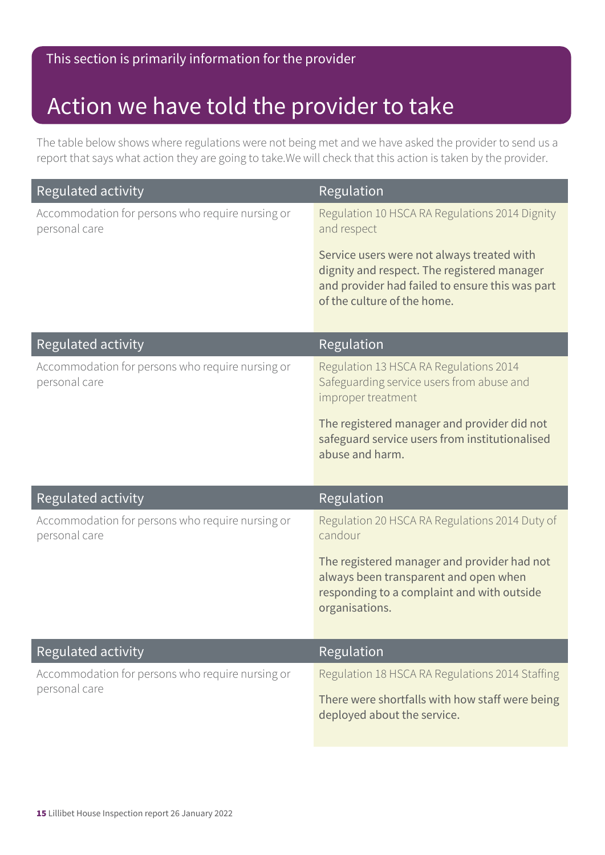### Action we have told the provider to take

The table below shows where regulations were not being met and we have asked the provider to send us a report that says what action they are going to take.We will check that this action is taken by the provider.

| Regulated activity                                                | Regulation                                                                                                                                                                  |
|-------------------------------------------------------------------|-----------------------------------------------------------------------------------------------------------------------------------------------------------------------------|
| Accommodation for persons who require nursing or<br>personal care | Regulation 10 HSCA RA Regulations 2014 Dignity<br>and respect                                                                                                               |
|                                                                   | Service users were not always treated with<br>dignity and respect. The registered manager<br>and provider had failed to ensure this was part<br>of the culture of the home. |
| Regulated activity                                                | Regulation                                                                                                                                                                  |
| Accommodation for persons who require nursing or<br>personal care | Regulation 13 HSCA RA Regulations 2014<br>Safeguarding service users from abuse and<br>improper treatment                                                                   |
|                                                                   | The registered manager and provider did not<br>safeguard service users from institutionalised<br>abuse and harm.                                                            |
| Regulated activity                                                | Regulation                                                                                                                                                                  |
| Accommodation for persons who require nursing or<br>personal care | Regulation 20 HSCA RA Regulations 2014 Duty of<br>candour                                                                                                                   |
|                                                                   | The registered manager and provider had not<br>always been transparent and open when<br>responding to a complaint and with outside<br>organisations.                        |
| Regulated activity                                                | Regulation                                                                                                                                                                  |
| Accommodation for persons who require nursing or<br>personal care | Regulation 18 HSCA RA Regulations 2014 Staffing                                                                                                                             |
|                                                                   | There were shortfalls with how staff were being<br>deployed about the service.                                                                                              |